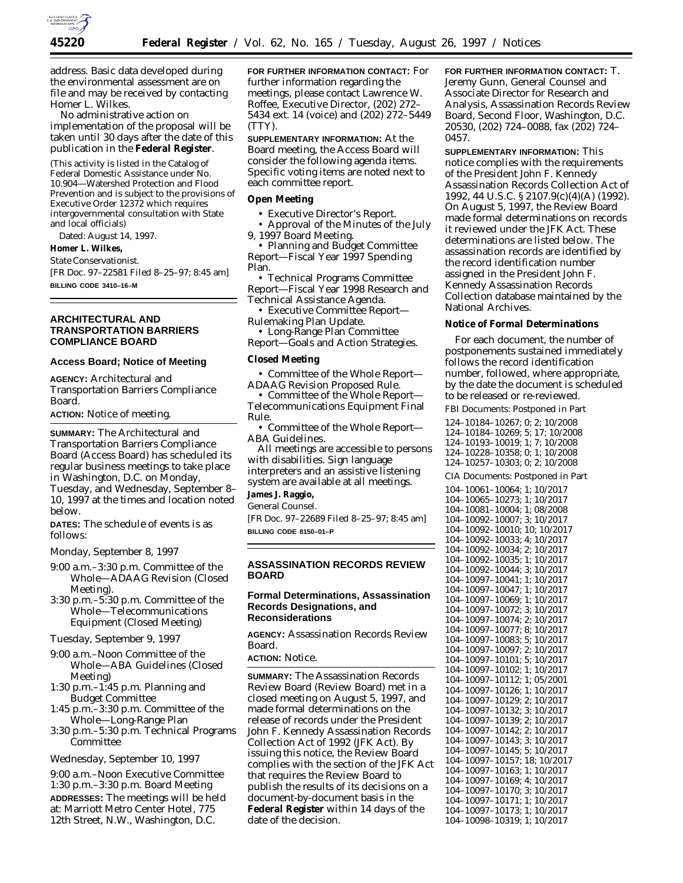

address. Basic data developed during the environmental assessment are on file and may be received by contacting Homer L. Wilkes.

No administrative action on implementation of the proposal will be taken until 30 days after the date of this publication in the **Federal Register**.

(This activity is listed in the Catalog of Federal Domestic Assistance under No. 10.904—Watershed Protection and Flood Prevention and is subject to the provisions of Executive Order 12372 which requires intergovernmental consultation with State and local officials)

Dated: August 14, 1997.

#### **Homer L. Wilkes,**

*State Conservationist.* [FR Doc. 97–22581 Filed 8–25–97; 8:45 am]

**BILLING CODE 3410–16–M**

## **ARCHITECTURAL AND TRANSPORTATION BARRIERS COMPLIANCE BOARD**

#### **Access Board; Notice of Meeting**

**AGENCY:** Architectural and Transportation Barriers Compliance Board.

**ACTION:** Notice of meeting.

**SUMMARY:** The Architectural and Transportation Barriers Compliance Board (Access Board) has scheduled its regular business meetings to take place in Washington, D.C. on Monday, Tuesday, and Wednesday, September 8– 10, 1997 at the times and location noted below.

**DATES:** The schedule of events is as follows:

*Monday, September 8, 1997*

- 9:00 a.m.–3:30 p.m. Committee of the Whole—ADAAG Revision (Closed Meeting).
- 3:30 p.m.–5:30 p.m. Committee of the Whole—Telecommunications Equipment (Closed Meeting)

*Tuesday, September 9, 1997*

- 9:00 a.m.–Noon Committee of the Whole—ABA Guidelines (Closed Meeting)
- 1:30 p.m.–1:45 p.m. Planning and Budget Committee
- 1:45 p.m.–3:30 p.m. Committee of the Whole—Long-Range Plan
- 3:30 p.m.–5:30 p.m. Technical Programs Committee

# *Wednesday, September 10, 1997*

9:00 a.m.–Noon Executive Committee 1:30 p.m.–3:30 p.m. Board Meeting **ADDRESSES:** The meetings will be held at: Marriott Metro Center Hotel, 775 12th Street, N.W., Washington, D.C.

**FOR FURTHER INFORMATION CONTACT:** For further information regarding the meetings, please contact Lawrence W. Roffee, Executive Director, (202) 272– 5434 ext. 14 (voice) and (202) 272–5449 (TTY).

**SUPPLEMENTARY INFORMATION:** At the Board meeting, the Access Board will consider the following agenda items. Specific voting items are noted next to each committee report.

# **Open Meeting**

• Executive Director's Report.

• Approval of the Minutes of the July 9, 1997 Board Meeting.

• Planning and Budget Committee Report—Fiscal Year 1997 Spending Plan.

• Technical Programs Committee Report—Fiscal Year 1998 Research and Technical Assistance Agenda.

• Executive Committee Report— Rulemaking Plan Update.

• Long-Range Plan Committee

Report—Goals and Action Strategies.

# **Closed Meeting**

• Committee of the Whole Report— ADAAG Revision Proposed Rule.

• Committee of the Whole Report— Telecommunications Equipment Final Rule.

• Committee of the Whole Report— ABA Guidelines.

All meetings are accessible to persons with disabilities. Sign language interpreters and an assistive listening system are available at all meetings.

# **James J. Raggio,**

*General Counsel.* [FR Doc. 97–22689 Filed 8–25–97; 8:45 am]

**BILLING CODE 8150–01–P**

### **ASSASSINATION RECORDS REVIEW BOARD**

### **Formal Determinations, Assassination Records Designations, and Reconsiderations**

**AGENCY:** Assassination Records Review Board.

**ACTION:** Notice.

**SUMMARY:** The Assassination Records Review Board (Review Board) met in a closed meeting on August 5, 1997, and made formal determinations on the release of records under the President John F. Kennedy Assassination Records Collection Act of 1992 (JFK Act). By issuing this notice, the Review Board complies with the section of the JFK Act that requires the Review Board to publish the results of its decisions on a document-by-document basis in the **Federal Register** within 14 days of the date of the decision.

**FOR FURTHER INFORMATION CONTACT:** T. Jeremy Gunn, General Counsel and Associate Director for Research and Analysis, Assassination Records Review Board, Second Floor, Washington, D.C. 20530, (202) 724–0088, fax (202) 724– 0457.

**SUPPLEMENTARY INFORMATION:** This notice complies with the requirements of the President John F. Kennedy Assassination Records Collection Act of 1992, 44 U.S.C. § 2107.9(c)(4)(A) (1992). On August 5, 1997, the Review Board made formal determinations on records it reviewed under the JFK Act. These determinations are listed below. The assassination records are identified by the record identification number assigned in the President John F. Kennedy Assassination Records Collection database maintained by the National Archives.

### **Notice of Formal Determinations**

For each document, the number of postponements sustained immediately follows the record identification number, followed, where appropriate, by the date the document is scheduled to be released or re-reviewed.

FBI Documents: Postponed in Part

124–10184–10267; 0; 2; 10/2008 124–10184–10269; 5; 17; 10/2008 124–10193–10019; 1; 7; 10/2008 124–10228–10358; 0; 1; 10/2008 124–10257–10303; 0; 2; 10/2008 CIA Documents: Postponed in Part 104–10061–10064; 1; 10/2017 104–10065–10273; 1; 10/2017 104–10081–10004; 1; 08/2008 104–10092–10007; 3; 10/2017 104–10092–10010; 10; 10/2017 104–10092–10033; 4; 10/2017 104–10092–10034; 2; 10/2017 104–10092–10035; 1; 10/2017 104–10092–10044; 3; 10/2017 104–10097–10041; 1; 10/2017 104–10097–10047; 1; 10/2017 104–10097–10069; 1; 10/2017 104–10097–10072; 3; 10/2017 104–10097–10074; 2; 10/2017 104–10097–10077; 8; 10/2017 104–10097–10083; 5; 10/2017 104–10097–10097; 2; 10/2017 104–10097–10101; 5; 10/2017 104–10097–10102; 1; 10/2017 104–10097–10112; 1; 05/2001 104–10097–10126; 1; 10/2017 104–10097–10129; 2; 10/2017 104–10097–10132; 3; 10/2017 104–10097–10139; 2; 10/2017 104–10097–10142; 2; 10/2017 104–10097–10143; 3; 10/2017 104–10097–10145; 5; 10/2017 104–10097–10157; 18; 10/2017 104–10097–10163; 1; 10/2017 104–10097–10169; 4; 10/2017 104–10097–10170; 3; 10/2017 104–10097–10171; 1; 10/2017 104–10097–10173; 1; 10/2017 104–10098–10319; 1; 10/2017